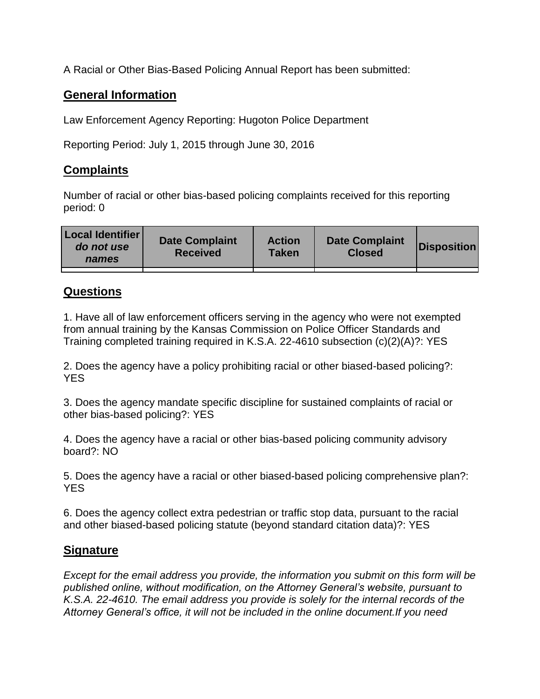A Racial or Other Bias-Based Policing Annual Report has been submitted:

## **General Information**

Law Enforcement Agency Reporting: Hugoton Police Department

Reporting Period: July 1, 2015 through June 30, 2016

## **Complaints**

Number of racial or other bias-based policing complaints received for this reporting period: 0

| <b>Local Identifier</b><br>do not use<br>names | <b>Date Complaint</b><br><b>Received</b> | <b>Action</b><br><b>Taken</b> | <b>Date Complaint</b><br><b>Closed</b> | Disposition |
|------------------------------------------------|------------------------------------------|-------------------------------|----------------------------------------|-------------|
|                                                |                                          |                               |                                        |             |

## **Questions**

1. Have all of law enforcement officers serving in the agency who were not exempted from annual training by the Kansas Commission on Police Officer Standards and Training completed training required in K.S.A. 22-4610 subsection (c)(2)(A)?: YES

2. Does the agency have a policy prohibiting racial or other biased-based policing?: YES

3. Does the agency mandate specific discipline for sustained complaints of racial or other bias-based policing?: YES

4. Does the agency have a racial or other bias-based policing community advisory board?: NO

5. Does the agency have a racial or other biased-based policing comprehensive plan?: YES

6. Does the agency collect extra pedestrian or traffic stop data, pursuant to the racial and other biased-based policing statute (beyond standard citation data)?: YES

## **Signature**

*Except for the email address you provide, the information you submit on this form will be published online, without modification, on the Attorney General's website, pursuant to K.S.A. 22-4610. The email address you provide is solely for the internal records of the Attorney General's office, it will not be included in the online document.If you need*